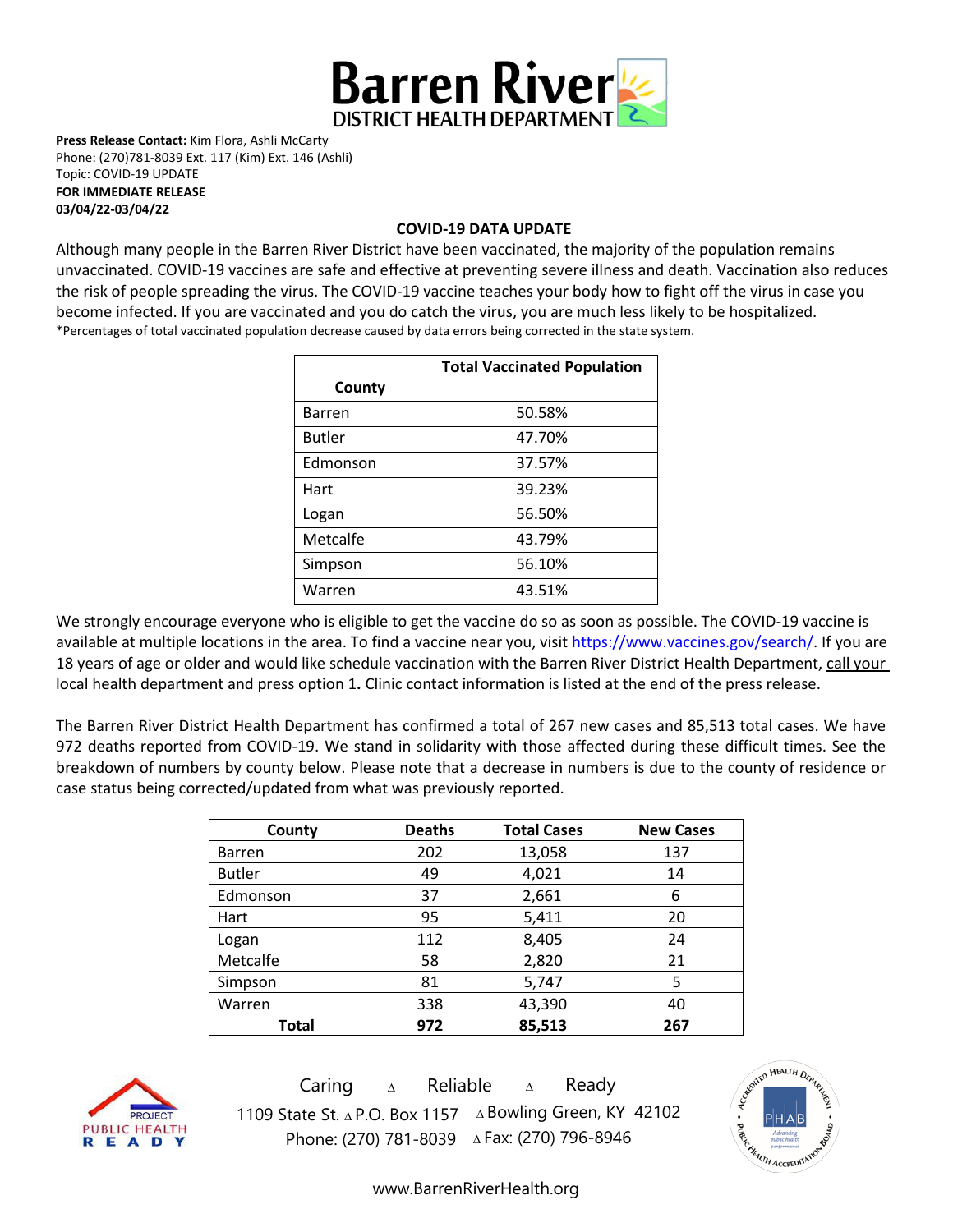

**Press Release Contact:** Kim Flora, Ashli McCarty Phone: (270)781-8039 Ext. 117 (Kim) Ext. 146 (Ashli) Topic: COVID-19 UPDATE

**FOR IMMEDIATE RELEASE 03/04/22-03/04/22**

#### **COVID-19 DATA UPDATE**

Although many people in the Barren River District have been vaccinated, the majority of the population remains unvaccinated. COVID-19 vaccines are [safe and effective](https://www.cdc.gov/coronavirus/2019-ncov/vaccines/effectiveness.html) at preventing severe illness and death. Vaccination also reduces the risk of people spreading the virus. The COVID-19 vaccine teaches your body how to fight off the virus in case you become infected. If you are vaccinated and you do catch the virus, you are much less likely to be hospitalized. \*Percentages of total vaccinated population decrease caused by data errors being corrected in the state system.

|               | <b>Total Vaccinated Population</b> |  |
|---------------|------------------------------------|--|
| County        |                                    |  |
| <b>Barren</b> | 50.58%                             |  |
| <b>Butler</b> | 47.70%                             |  |
| Edmonson      | 37.57%                             |  |
| Hart          | 39.23%                             |  |
| Logan         | 56.50%                             |  |
| Metcalfe      | 43.79%                             |  |
| Simpson       | 56.10%                             |  |
| Warren        | 43.51%                             |  |

We strongly encourage everyone who is eligible to get the vaccine do so as soon as possible. The COVID-19 vaccine is available at multiple locations in the area. To find a vaccine near you, visi[t https://www.vaccines.gov/search/.](https://www.vaccines.gov/search/) If you are 18 years of age or older and would like schedule vaccination with the Barren River District Health Department, call your local health department and press option 1**.** Clinic contact information is listed at the end of the press release.

The Barren River District Health Department has confirmed a total of 267 new cases and 85,513 total cases. We have 972 deaths reported from COVID-19. We stand in solidarity with those affected during these difficult times. See the breakdown of numbers by county below. Please note that a decrease in numbers is due to the county of residence or case status being corrected/updated from what was previously reported.

| County        | <b>Deaths</b> | <b>Total Cases</b> | <b>New Cases</b> |
|---------------|---------------|--------------------|------------------|
| <b>Barren</b> | 202           | 13,058             | 137              |
| <b>Butler</b> | 49            | 4,021              | 14               |
| Edmonson      | 37            | 2,661              | 6                |
| Hart          | 95            | 5,411              | 20               |
| Logan         | 112           | 8,405              | 24               |
| Metcalfe      | 58            | 2,820              | 21               |
| Simpson       | 81            | 5,747              | 5                |
| Warren        | 338           | 43,390             | 40               |
| Total         | 972           | 85,513             | 267              |



Caring <sup>∆</sup> Reliable <sup>∆</sup> Ready 1109 State St. ∆ P.O. Box 1157 ∆ Bowling Green, KY 42102 Phone: (270) 781-8039 ∆Fax: (270) 796-8946



[www.BarrenRiverHealth.org](http://www.barrenriverhealth.org/)